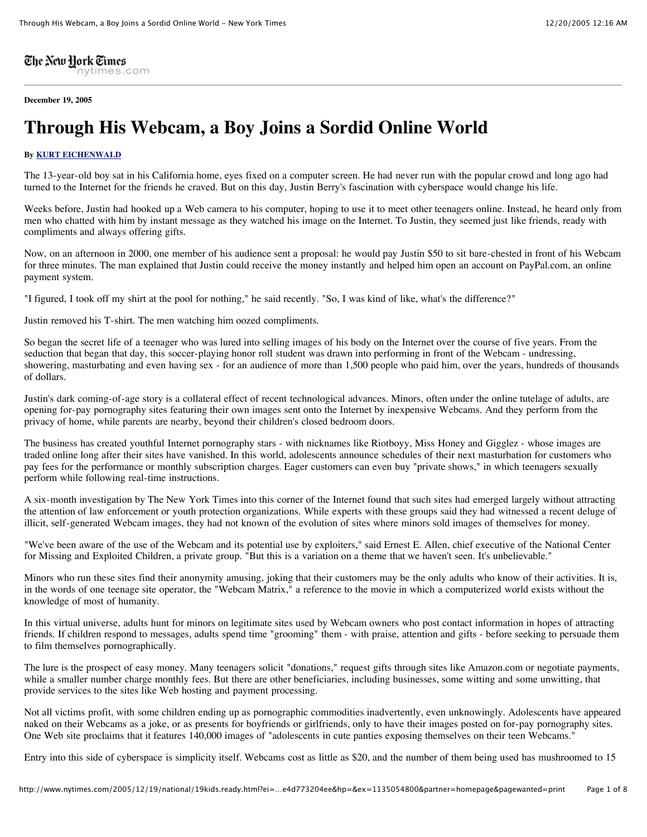The New Hork Times nytimes.com

#### **December 19, 2005**

# **Through His Webcam, a Boy Joins a Sordid Online World**

#### **By KURT EICHENWALD**

The 13-year-old boy sat in his California home, eyes fixed on a computer screen. He had never run with the popular crowd and long ago had turned to the Internet for the friends he craved. But on this day, Justin Berry's fascination with cyberspace would change his life.

Weeks before, Justin had hooked up a Web camera to his computer, hoping to use it to meet other teenagers online. Instead, he heard only from men who chatted with him by instant message as they watched his image on the Internet. To Justin, they seemed just like friends, ready with compliments and always offering gifts.

Now, on an afternoon in 2000, one member of his audience sent a proposal: he would pay Justin \$50 to sit bare-chested in front of his Webcam for three minutes. The man explained that Justin could receive the money instantly and helped him open an account on PayPal.com, an online payment system.

"I figured, I took off my shirt at the pool for nothing," he said recently. "So, I was kind of like, what's the difference?"

Justin removed his T-shirt. The men watching him oozed compliments.

So began the secret life of a teenager who was lured into selling images of his body on the Internet over the course of five years. From the seduction that began that day, this soccer-playing honor roll student was drawn into performing in front of the Webcam - undressing, showering, masturbating and even having sex - for an audience of more than 1,500 people who paid him, over the years, hundreds of thousands of dollars.

Justin's dark coming-of-age story is a collateral effect of recent technological advances. Minors, often under the online tutelage of adults, are opening for-pay pornography sites featuring their own images sent onto the Internet by inexpensive Webcams. And they perform from the privacy of home, while parents are nearby, beyond their children's closed bedroom doors.

The business has created youthful Internet pornography stars - with nicknames like Riotboyy, Miss Honey and Gigglez - whose images are traded online long after their sites have vanished. In this world, adolescents announce schedules of their next masturbation for customers who pay fees for the performance or monthly subscription charges. Eager customers can even buy "private shows," in which teenagers sexually perform while following real-time instructions.

A six-month investigation by The New York Times into this corner of the Internet found that such sites had emerged largely without attracting the attention of law enforcement or youth protection organizations. While experts with these groups said they had witnessed a recent deluge of illicit, self-generated Webcam images, they had not known of the evolution of sites where minors sold images of themselves for money.

"We've been aware of the use of the Webcam and its potential use by exploiters," said Ernest E. Allen, chief executive of the National Center for Missing and Exploited Children, a private group. "But this is a variation on a theme that we haven't seen. It's unbelievable."

Minors who run these sites find their anonymity amusing, joking that their customers may be the only adults who know of their activities. It is, in the words of one teenage site operator, the "Webcam Matrix," a reference to the movie in which a computerized world exists without the knowledge of most of humanity.

In this virtual universe, adults hunt for minors on legitimate sites used by Webcam owners who post contact information in hopes of attracting friends. If children respond to messages, adults spend time "grooming" them - with praise, attention and gifts - before seeking to persuade them to film themselves pornographically.

The lure is the prospect of easy money. Many teenagers solicit "donations," request gifts through sites like Amazon.com or negotiate payments, while a smaller number charge monthly fees. But there are other beneficiaries, including businesses, some witting and some unwitting, that provide services to the sites like Web hosting and payment processing.

Not all victims profit, with some children ending up as pornographic commodities inadvertently, even unknowingly. Adolescents have appeared naked on their Webcams as a joke, or as presents for boyfriends or girlfriends, only to have their images posted on for-pay pornography sites. One Web site proclaims that it features 140,000 images of "adolescents in cute panties exposing themselves on their teen Webcams."

Entry into this side of cyberspace is simplicity itself. Webcams cost as little as \$20, and the number of them being used has mushroomed to 15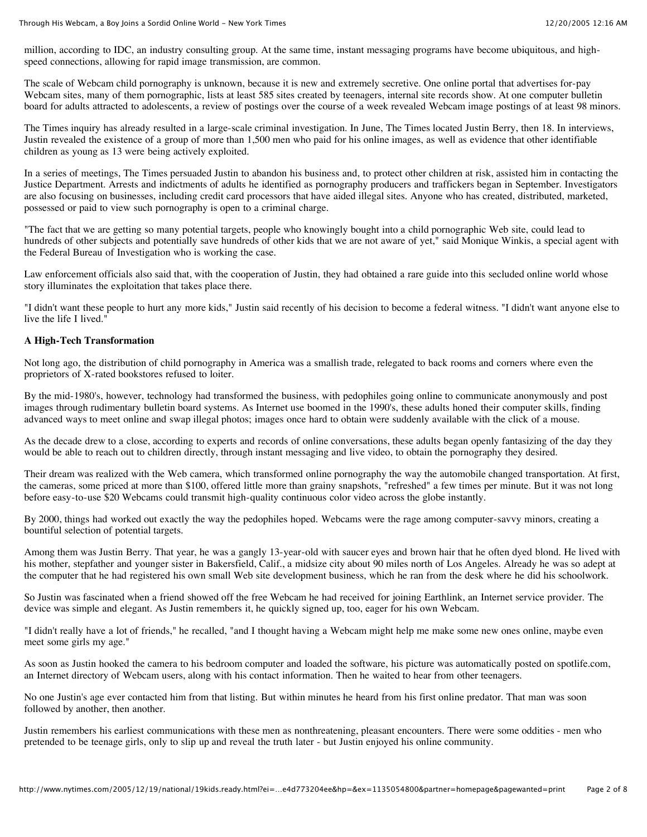Through His Webcam, a Boy Joins a Sordid Online World - New York Times 12/20/2005 12:16 AM

million, according to IDC, an industry consulting group. At the same time, instant messaging programs have become ubiquitous, and highspeed connections, allowing for rapid image transmission, are common.

The scale of Webcam child pornography is unknown, because it is new and extremely secretive. One online portal that advertises for-pay Webcam sites, many of them pornographic, lists at least 585 sites created by teenagers, internal site records show. At one computer bulletin board for adults attracted to adolescents, a review of postings over the course of a week revealed Webcam image postings of at least 98 minors.

The Times inquiry has already resulted in a large-scale criminal investigation. In June, The Times located Justin Berry, then 18. In interviews, Justin revealed the existence of a group of more than 1,500 men who paid for his online images, as well as evidence that other identifiable children as young as 13 were being actively exploited.

In a series of meetings, The Times persuaded Justin to abandon his business and, to protect other children at risk, assisted him in contacting the Justice Department. Arrests and indictments of adults he identified as pornography producers and traffickers began in September. Investigators are also focusing on businesses, including credit card processors that have aided illegal sites. Anyone who has created, distributed, marketed, possessed or paid to view such pornography is open to a criminal charge.

"The fact that we are getting so many potential targets, people who knowingly bought into a child pornographic Web site, could lead to hundreds of other subjects and potentially save hundreds of other kids that we are not aware of yet," said Monique Winkis, a special agent with the Federal Bureau of Investigation who is working the case.

Law enforcement officials also said that, with the cooperation of Justin, they had obtained a rare guide into this secluded online world whose story illuminates the exploitation that takes place there.

"I didn't want these people to hurt any more kids," Justin said recently of his decision to become a federal witness. "I didn't want anyone else to live the life I lived."

## **A High-Tech Transformation**

Not long ago, the distribution of child pornography in America was a smallish trade, relegated to back rooms and corners where even the proprietors of X-rated bookstores refused to loiter.

By the mid-1980's, however, technology had transformed the business, with pedophiles going online to communicate anonymously and post images through rudimentary bulletin board systems. As Internet use boomed in the 1990's, these adults honed their computer skills, finding advanced ways to meet online and swap illegal photos; images once hard to obtain were suddenly available with the click of a mouse.

As the decade drew to a close, according to experts and records of online conversations, these adults began openly fantasizing of the day they would be able to reach out to children directly, through instant messaging and live video, to obtain the pornography they desired.

Their dream was realized with the Web camera, which transformed online pornography the way the automobile changed transportation. At first, the cameras, some priced at more than \$100, offered little more than grainy snapshots, "refreshed" a few times per minute. But it was not long before easy-to-use \$20 Webcams could transmit high-quality continuous color video across the globe instantly.

By 2000, things had worked out exactly the way the pedophiles hoped. Webcams were the rage among computer-savvy minors, creating a bountiful selection of potential targets.

Among them was Justin Berry. That year, he was a gangly 13-year-old with saucer eyes and brown hair that he often dyed blond. He lived with his mother, stepfather and younger sister in Bakersfield, Calif., a midsize city about 90 miles north of Los Angeles. Already he was so adept at the computer that he had registered his own small Web site development business, which he ran from the desk where he did his schoolwork.

So Justin was fascinated when a friend showed off the free Webcam he had received for joining Earthlink, an Internet service provider. The device was simple and elegant. As Justin remembers it, he quickly signed up, too, eager for his own Webcam.

"I didn't really have a lot of friends," he recalled, "and I thought having a Webcam might help me make some new ones online, maybe even meet some girls my age."

As soon as Justin hooked the camera to his bedroom computer and loaded the software, his picture was automatically posted on spotlife.com, an Internet directory of Webcam users, along with his contact information. Then he waited to hear from other teenagers.

No one Justin's age ever contacted him from that listing. But within minutes he heard from his first online predator. That man was soon followed by another, then another.

Justin remembers his earliest communications with these men as nonthreatening, pleasant encounters. There were some oddities - men who pretended to be teenage girls, only to slip up and reveal the truth later - but Justin enjoyed his online community.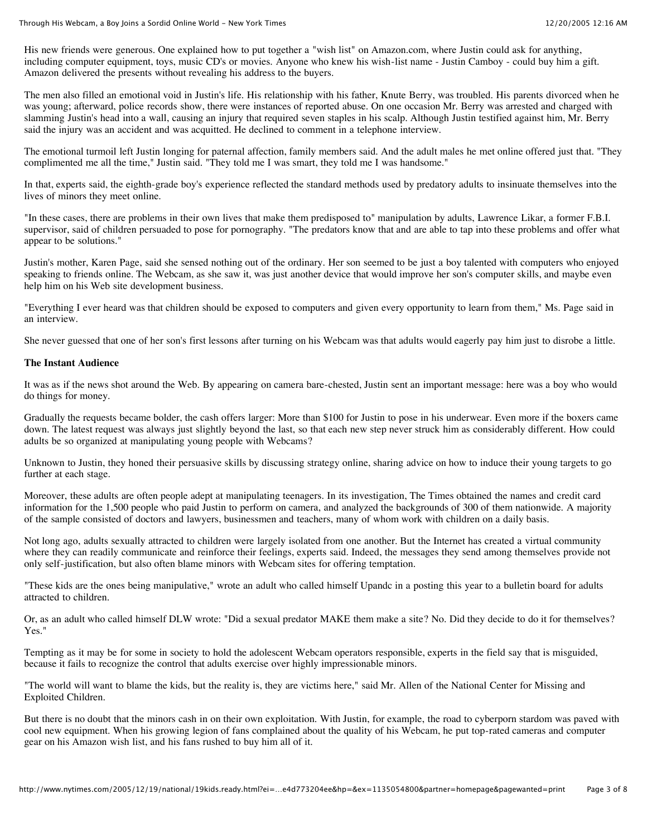His new friends were generous. One explained how to put together a "wish list" on Amazon.com, where Justin could ask for anything, including computer equipment, toys, music CD's or movies. Anyone who knew his wish-list name - Justin Camboy - could buy him a gift. Amazon delivered the presents without revealing his address to the buyers.

The men also filled an emotional void in Justin's life. His relationship with his father, Knute Berry, was troubled. His parents divorced when he was young; afterward, police records show, there were instances of reported abuse. On one occasion Mr. Berry was arrested and charged with slamming Justin's head into a wall, causing an injury that required seven staples in his scalp. Although Justin testified against him, Mr. Berry said the injury was an accident and was acquitted. He declined to comment in a telephone interview.

The emotional turmoil left Justin longing for paternal affection, family members said. And the adult males he met online offered just that. "They complimented me all the time," Justin said. "They told me I was smart, they told me I was handsome."

In that, experts said, the eighth-grade boy's experience reflected the standard methods used by predatory adults to insinuate themselves into the lives of minors they meet online.

"In these cases, there are problems in their own lives that make them predisposed to" manipulation by adults, Lawrence Likar, a former F.B.I. supervisor, said of children persuaded to pose for pornography. "The predators know that and are able to tap into these problems and offer what appear to be solutions."

Justin's mother, Karen Page, said she sensed nothing out of the ordinary. Her son seemed to be just a boy talented with computers who enjoyed speaking to friends online. The Webcam, as she saw it, was just another device that would improve her son's computer skills, and maybe even help him on his Web site development business.

"Everything I ever heard was that children should be exposed to computers and given every opportunity to learn from them," Ms. Page said in an interview.

She never guessed that one of her son's first lessons after turning on his Webcam was that adults would eagerly pay him just to disrobe a little.

#### **The Instant Audience**

It was as if the news shot around the Web. By appearing on camera bare-chested, Justin sent an important message: here was a boy who would do things for money.

Gradually the requests became bolder, the cash offers larger: More than \$100 for Justin to pose in his underwear. Even more if the boxers came down. The latest request was always just slightly beyond the last, so that each new step never struck him as considerably different. How could adults be so organized at manipulating young people with Webcams?

Unknown to Justin, they honed their persuasive skills by discussing strategy online, sharing advice on how to induce their young targets to go further at each stage.

Moreover, these adults are often people adept at manipulating teenagers. In its investigation, The Times obtained the names and credit card information for the 1,500 people who paid Justin to perform on camera, and analyzed the backgrounds of 300 of them nationwide. A majority of the sample consisted of doctors and lawyers, businessmen and teachers, many of whom work with children on a daily basis.

Not long ago, adults sexually attracted to children were largely isolated from one another. But the Internet has created a virtual community where they can readily communicate and reinforce their feelings, experts said. Indeed, the messages they send among themselves provide not only self-justification, but also often blame minors with Webcam sites for offering temptation.

"These kids are the ones being manipulative," wrote an adult who called himself Upandc in a posting this year to a bulletin board for adults attracted to children.

Or, as an adult who called himself DLW wrote: "Did a sexual predator MAKE them make a site? No. Did they decide to do it for themselves? Yes."

Tempting as it may be for some in society to hold the adolescent Webcam operators responsible, experts in the field say that is misguided, because it fails to recognize the control that adults exercise over highly impressionable minors.

"The world will want to blame the kids, but the reality is, they are victims here," said Mr. Allen of the National Center for Missing and Exploited Children.

But there is no doubt that the minors cash in on their own exploitation. With Justin, for example, the road to cyberporn stardom was paved with cool new equipment. When his growing legion of fans complained about the quality of his Webcam, he put top-rated cameras and computer gear on his Amazon wish list, and his fans rushed to buy him all of it.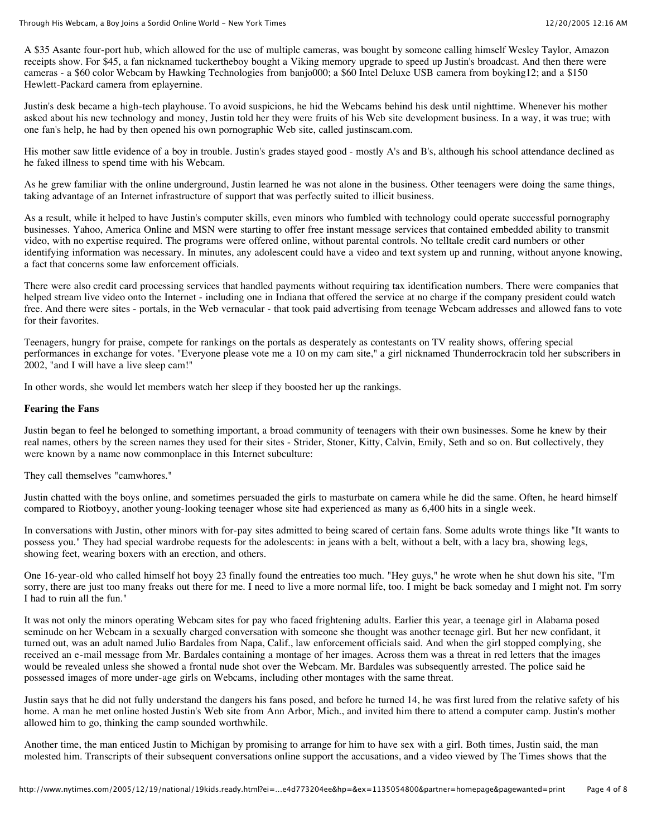A \$35 Asante four-port hub, which allowed for the use of multiple cameras, was bought by someone calling himself Wesley Taylor, Amazon receipts show. For \$45, a fan nicknamed tuckertheboy bought a Viking memory upgrade to speed up Justin's broadcast. And then there were cameras - a \$60 color Webcam by Hawking Technologies from banjo000; a \$60 Intel Deluxe USB camera from boyking12; and a \$150 Hewlett-Packard camera from eplayernine.

Justin's desk became a high-tech playhouse. To avoid suspicions, he hid the Webcams behind his desk until nighttime. Whenever his mother asked about his new technology and money, Justin told her they were fruits of his Web site development business. In a way, it was true; with one fan's help, he had by then opened his own pornographic Web site, called justinscam.com.

His mother saw little evidence of a boy in trouble. Justin's grades stayed good - mostly A's and B's, although his school attendance declined as he faked illness to spend time with his Webcam.

As he grew familiar with the online underground, Justin learned he was not alone in the business. Other teenagers were doing the same things, taking advantage of an Internet infrastructure of support that was perfectly suited to illicit business.

As a result, while it helped to have Justin's computer skills, even minors who fumbled with technology could operate successful pornography businesses. Yahoo, America Online and MSN were starting to offer free instant message services that contained embedded ability to transmit video, with no expertise required. The programs were offered online, without parental controls. No telltale credit card numbers or other identifying information was necessary. In minutes, any adolescent could have a video and text system up and running, without anyone knowing, a fact that concerns some law enforcement officials.

There were also credit card processing services that handled payments without requiring tax identification numbers. There were companies that helped stream live video onto the Internet - including one in Indiana that offered the service at no charge if the company president could watch free. And there were sites - portals, in the Web vernacular - that took paid advertising from teenage Webcam addresses and allowed fans to vote for their favorites.

Teenagers, hungry for praise, compete for rankings on the portals as desperately as contestants on TV reality shows, offering special performances in exchange for votes. "Everyone please vote me a 10 on my cam site," a girl nicknamed Thunderrockracin told her subscribers in 2002, "and I will have a live sleep cam!"

In other words, she would let members watch her sleep if they boosted her up the rankings.

### **Fearing the Fans**

Justin began to feel he belonged to something important, a broad community of teenagers with their own businesses. Some he knew by their real names, others by the screen names they used for their sites - Strider, Stoner, Kitty, Calvin, Emily, Seth and so on. But collectively, they were known by a name now commonplace in this Internet subculture:

They call themselves "camwhores."

Justin chatted with the boys online, and sometimes persuaded the girls to masturbate on camera while he did the same. Often, he heard himself compared to Riotboyy, another young-looking teenager whose site had experienced as many as 6,400 hits in a single week.

In conversations with Justin, other minors with for-pay sites admitted to being scared of certain fans. Some adults wrote things like "It wants to possess you." They had special wardrobe requests for the adolescents: in jeans with a belt, without a belt, with a lacy bra, showing legs, showing feet, wearing boxers with an erection, and others.

One 16-year-old who called himself hot boyy 23 finally found the entreaties too much. "Hey guys," he wrote when he shut down his site, "I'm sorry, there are just too many freaks out there for me. I need to live a more normal life, too. I might be back someday and I might not. I'm sorry I had to ruin all the fun."

It was not only the minors operating Webcam sites for pay who faced frightening adults. Earlier this year, a teenage girl in Alabama posed seminude on her Webcam in a sexually charged conversation with someone she thought was another teenage girl. But her new confidant, it turned out, was an adult named Julio Bardales from Napa, Calif., law enforcement officials said. And when the girl stopped complying, she received an e-mail message from Mr. Bardales containing a montage of her images. Across them was a threat in red letters that the images would be revealed unless she showed a frontal nude shot over the Webcam. Mr. Bardales was subsequently arrested. The police said he possessed images of more under-age girls on Webcams, including other montages with the same threat.

Justin says that he did not fully understand the dangers his fans posed, and before he turned 14, he was first lured from the relative safety of his home. A man he met online hosted Justin's Web site from Ann Arbor, Mich., and invited him there to attend a computer camp. Justin's mother allowed him to go, thinking the camp sounded worthwhile.

Another time, the man enticed Justin to Michigan by promising to arrange for him to have sex with a girl. Both times, Justin said, the man molested him. Transcripts of their subsequent conversations online support the accusations, and a video viewed by The Times shows that the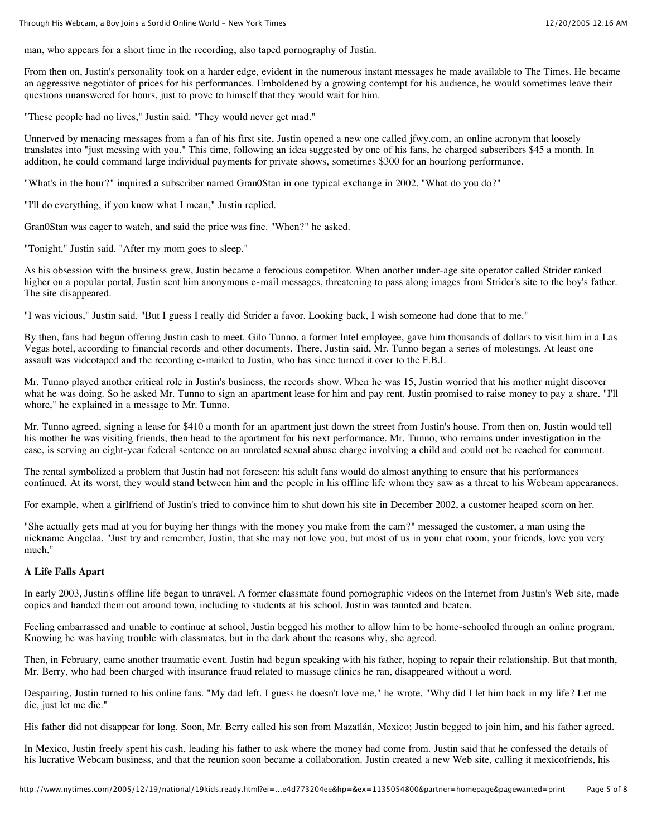man, who appears for a short time in the recording, also taped pornography of Justin.

From then on, Justin's personality took on a harder edge, evident in the numerous instant messages he made available to The Times. He became an aggressive negotiator of prices for his performances. Emboldened by a growing contempt for his audience, he would sometimes leave their questions unanswered for hours, just to prove to himself that they would wait for him.

"These people had no lives," Justin said. "They would never get mad."

Unnerved by menacing messages from a fan of his first site, Justin opened a new one called jfwy.com, an online acronym that loosely translates into "just messing with you." This time, following an idea suggested by one of his fans, he charged subscribers \$45 a month. In addition, he could command large individual payments for private shows, sometimes \$300 for an hourlong performance.

"What's in the hour?" inquired a subscriber named Gran0Stan in one typical exchange in 2002. "What do you do?"

"I'll do everything, if you know what I mean," Justin replied.

Gran0Stan was eager to watch, and said the price was fine. "When?" he asked.

"Tonight," Justin said. "After my mom goes to sleep."

As his obsession with the business grew, Justin became a ferocious competitor. When another under-age site operator called Strider ranked higher on a popular portal, Justin sent him anonymous e-mail messages, threatening to pass along images from Strider's site to the boy's father. The site disappeared.

"I was vicious," Justin said. "But I guess I really did Strider a favor. Looking back, I wish someone had done that to me."

By then, fans had begun offering Justin cash to meet. Gilo Tunno, a former Intel employee, gave him thousands of dollars to visit him in a Las Vegas hotel, according to financial records and other documents. There, Justin said, Mr. Tunno began a series of molestings. At least one assault was videotaped and the recording e-mailed to Justin, who has since turned it over to the F.B.I.

Mr. Tunno played another critical role in Justin's business, the records show. When he was 15, Justin worried that his mother might discover what he was doing. So he asked Mr. Tunno to sign an apartment lease for him and pay rent. Justin promised to raise money to pay a share. "I'll whore," he explained in a message to Mr. Tunno.

Mr. Tunno agreed, signing a lease for \$410 a month for an apartment just down the street from Justin's house. From then on, Justin would tell his mother he was visiting friends, then head to the apartment for his next performance. Mr. Tunno, who remains under investigation in the case, is serving an eight-year federal sentence on an unrelated sexual abuse charge involving a child and could not be reached for comment.

The rental symbolized a problem that Justin had not foreseen: his adult fans would do almost anything to ensure that his performances continued. At its worst, they would stand between him and the people in his offline life whom they saw as a threat to his Webcam appearances.

For example, when a girlfriend of Justin's tried to convince him to shut down his site in December 2002, a customer heaped scorn on her.

"She actually gets mad at you for buying her things with the money you make from the cam?" messaged the customer, a man using the nickname Angelaa. "Just try and remember, Justin, that she may not love you, but most of us in your chat room, your friends, love you very much."

#### **A Life Falls Apart**

In early 2003, Justin's offline life began to unravel. A former classmate found pornographic videos on the Internet from Justin's Web site, made copies and handed them out around town, including to students at his school. Justin was taunted and beaten.

Feeling embarrassed and unable to continue at school, Justin begged his mother to allow him to be home-schooled through an online program. Knowing he was having trouble with classmates, but in the dark about the reasons why, she agreed.

Then, in February, came another traumatic event. Justin had begun speaking with his father, hoping to repair their relationship. But that month, Mr. Berry, who had been charged with insurance fraud related to massage clinics he ran, disappeared without a word.

Despairing, Justin turned to his online fans. "My dad left. I guess he doesn't love me," he wrote. "Why did I let him back in my life? Let me die, just let me die."

His father did not disappear for long. Soon, Mr. Berry called his son from Mazatlán, Mexico; Justin begged to join him, and his father agreed.

In Mexico, Justin freely spent his cash, leading his father to ask where the money had come from. Justin said that he confessed the details of his lucrative Webcam business, and that the reunion soon became a collaboration. Justin created a new Web site, calling it mexicofriends, his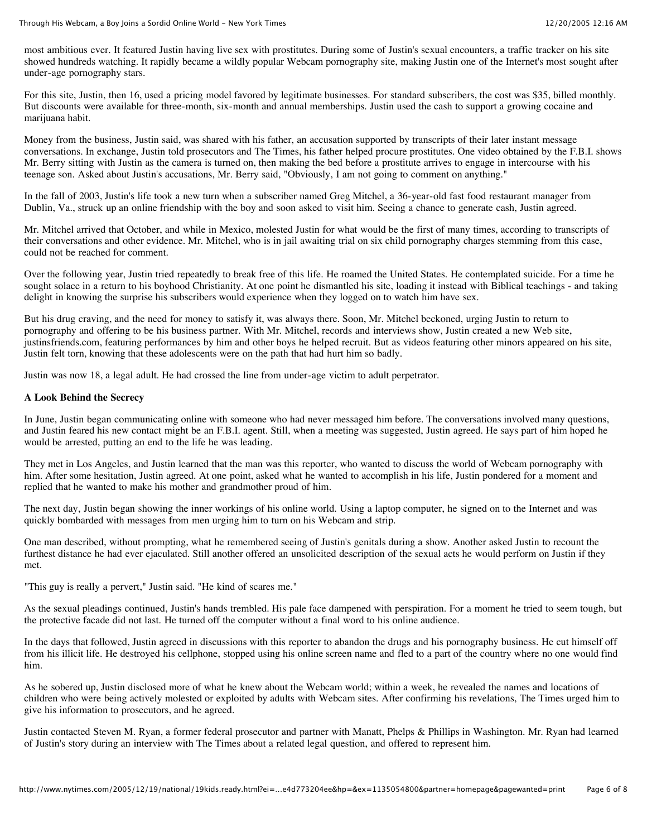most ambitious ever. It featured Justin having live sex with prostitutes. During some of Justin's sexual encounters, a traffic tracker on his site showed hundreds watching. It rapidly became a wildly popular Webcam pornography site, making Justin one of the Internet's most sought after under-age pornography stars.

For this site, Justin, then 16, used a pricing model favored by legitimate businesses. For standard subscribers, the cost was \$35, billed monthly. But discounts were available for three-month, six-month and annual memberships. Justin used the cash to support a growing cocaine and marijuana habit.

Money from the business, Justin said, was shared with his father, an accusation supported by transcripts of their later instant message conversations. In exchange, Justin told prosecutors and The Times, his father helped procure prostitutes. One video obtained by the F.B.I. shows Mr. Berry sitting with Justin as the camera is turned on, then making the bed before a prostitute arrives to engage in intercourse with his teenage son. Asked about Justin's accusations, Mr. Berry said, "Obviously, I am not going to comment on anything."

In the fall of 2003, Justin's life took a new turn when a subscriber named Greg Mitchel, a 36-year-old fast food restaurant manager from Dublin, Va., struck up an online friendship with the boy and soon asked to visit him. Seeing a chance to generate cash, Justin agreed.

Mr. Mitchel arrived that October, and while in Mexico, molested Justin for what would be the first of many times, according to transcripts of their conversations and other evidence. Mr. Mitchel, who is in jail awaiting trial on six child pornography charges stemming from this case, could not be reached for comment.

Over the following year, Justin tried repeatedly to break free of this life. He roamed the United States. He contemplated suicide. For a time he sought solace in a return to his boyhood Christianity. At one point he dismantled his site, loading it instead with Biblical teachings - and taking delight in knowing the surprise his subscribers would experience when they logged on to watch him have sex.

But his drug craving, and the need for money to satisfy it, was always there. Soon, Mr. Mitchel beckoned, urging Justin to return to pornography and offering to be his business partner. With Mr. Mitchel, records and interviews show, Justin created a new Web site, justinsfriends.com, featuring performances by him and other boys he helped recruit. But as videos featuring other minors appeared on his site, Justin felt torn, knowing that these adolescents were on the path that had hurt him so badly.

Justin was now 18, a legal adult. He had crossed the line from under-age victim to adult perpetrator.

### **A Look Behind the Secrecy**

In June, Justin began communicating online with someone who had never messaged him before. The conversations involved many questions, and Justin feared his new contact might be an F.B.I. agent. Still, when a meeting was suggested, Justin agreed. He says part of him hoped he would be arrested, putting an end to the life he was leading.

They met in Los Angeles, and Justin learned that the man was this reporter, who wanted to discuss the world of Webcam pornography with him. After some hesitation, Justin agreed. At one point, asked what he wanted to accomplish in his life, Justin pondered for a moment and replied that he wanted to make his mother and grandmother proud of him.

The next day, Justin began showing the inner workings of his online world. Using a laptop computer, he signed on to the Internet and was quickly bombarded with messages from men urging him to turn on his Webcam and strip.

One man described, without prompting, what he remembered seeing of Justin's genitals during a show. Another asked Justin to recount the furthest distance he had ever ejaculated. Still another offered an unsolicited description of the sexual acts he would perform on Justin if they met.

"This guy is really a pervert," Justin said. "He kind of scares me."

As the sexual pleadings continued, Justin's hands trembled. His pale face dampened with perspiration. For a moment he tried to seem tough, but the protective facade did not last. He turned off the computer without a final word to his online audience.

In the days that followed, Justin agreed in discussions with this reporter to abandon the drugs and his pornography business. He cut himself off from his illicit life. He destroyed his cellphone, stopped using his online screen name and fled to a part of the country where no one would find him.

As he sobered up, Justin disclosed more of what he knew about the Webcam world; within a week, he revealed the names and locations of children who were being actively molested or exploited by adults with Webcam sites. After confirming his revelations, The Times urged him to give his information to prosecutors, and he agreed.

Justin contacted Steven M. Ryan, a former federal prosecutor and partner with Manatt, Phelps & Phillips in Washington. Mr. Ryan had learned of Justin's story during an interview with The Times about a related legal question, and offered to represent him.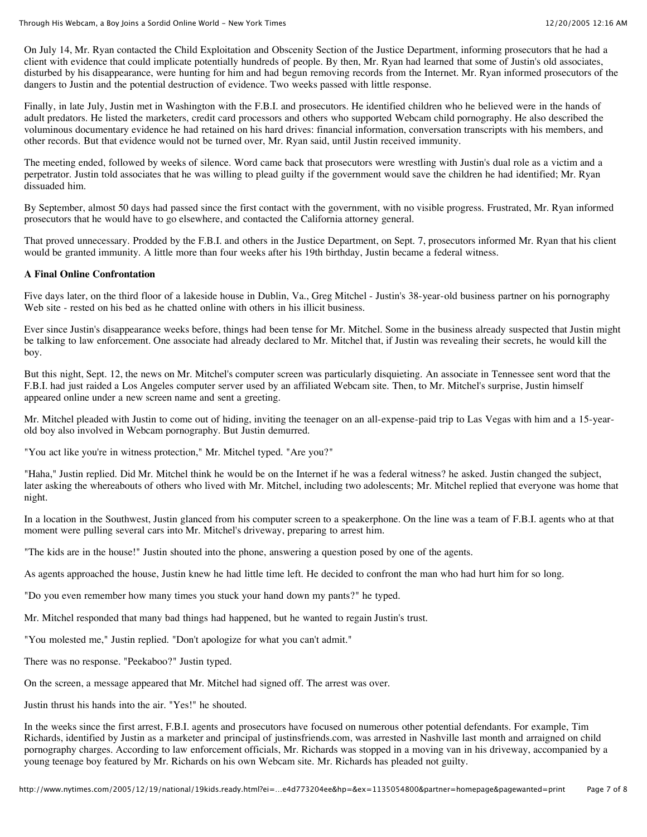On July 14, Mr. Ryan contacted the Child Exploitation and Obscenity Section of the Justice Department, informing prosecutors that he had a client with evidence that could implicate potentially hundreds of people. By then, Mr. Ryan had learned that some of Justin's old associates, disturbed by his disappearance, were hunting for him and had begun removing records from the Internet. Mr. Ryan informed prosecutors of the dangers to Justin and the potential destruction of evidence. Two weeks passed with little response.

Finally, in late July, Justin met in Washington with the F.B.I. and prosecutors. He identified children who he believed were in the hands of adult predators. He listed the marketers, credit card processors and others who supported Webcam child pornography. He also described the voluminous documentary evidence he had retained on his hard drives: financial information, conversation transcripts with his members, and other records. But that evidence would not be turned over, Mr. Ryan said, until Justin received immunity.

The meeting ended, followed by weeks of silence. Word came back that prosecutors were wrestling with Justin's dual role as a victim and a perpetrator. Justin told associates that he was willing to plead guilty if the government would save the children he had identified; Mr. Ryan dissuaded him.

By September, almost 50 days had passed since the first contact with the government, with no visible progress. Frustrated, Mr. Ryan informed prosecutors that he would have to go elsewhere, and contacted the California attorney general.

That proved unnecessary. Prodded by the F.B.I. and others in the Justice Department, on Sept. 7, prosecutors informed Mr. Ryan that his client would be granted immunity. A little more than four weeks after his 19th birthday, Justin became a federal witness.

## **A Final Online Confrontation**

Five days later, on the third floor of a lakeside house in Dublin, Va., Greg Mitchel - Justin's 38-year-old business partner on his pornography Web site - rested on his bed as he chatted online with others in his illicit business.

Ever since Justin's disappearance weeks before, things had been tense for Mr. Mitchel. Some in the business already suspected that Justin might be talking to law enforcement. One associate had already declared to Mr. Mitchel that, if Justin was revealing their secrets, he would kill the boy.

But this night, Sept. 12, the news on Mr. Mitchel's computer screen was particularly disquieting. An associate in Tennessee sent word that the F.B.I. had just raided a Los Angeles computer server used by an affiliated Webcam site. Then, to Mr. Mitchel's surprise, Justin himself appeared online under a new screen name and sent a greeting.

Mr. Mitchel pleaded with Justin to come out of hiding, inviting the teenager on an all-expense-paid trip to Las Vegas with him and a 15-yearold boy also involved in Webcam pornography. But Justin demurred.

"You act like you're in witness protection," Mr. Mitchel typed. "Are you?"

"Haha," Justin replied. Did Mr. Mitchel think he would be on the Internet if he was a federal witness? he asked. Justin changed the subject, later asking the whereabouts of others who lived with Mr. Mitchel, including two adolescents; Mr. Mitchel replied that everyone was home that night.

In a location in the Southwest, Justin glanced from his computer screen to a speakerphone. On the line was a team of F.B.I. agents who at that moment were pulling several cars into Mr. Mitchel's driveway, preparing to arrest him.

"The kids are in the house!" Justin shouted into the phone, answering a question posed by one of the agents.

As agents approached the house, Justin knew he had little time left. He decided to confront the man who had hurt him for so long.

"Do you even remember how many times you stuck your hand down my pants?" he typed.

Mr. Mitchel responded that many bad things had happened, but he wanted to regain Justin's trust.

"You molested me," Justin replied. "Don't apologize for what you can't admit."

There was no response. "Peekaboo?" Justin typed.

On the screen, a message appeared that Mr. Mitchel had signed off. The arrest was over.

Justin thrust his hands into the air. "Yes!" he shouted.

In the weeks since the first arrest, F.B.I. agents and prosecutors have focused on numerous other potential defendants. For example, Tim Richards, identified by Justin as a marketer and principal of justinsfriends.com, was arrested in Nashville last month and arraigned on child pornography charges. According to law enforcement officials, Mr. Richards was stopped in a moving van in his driveway, accompanied by a young teenage boy featured by Mr. Richards on his own Webcam site. Mr. Richards has pleaded not guilty.